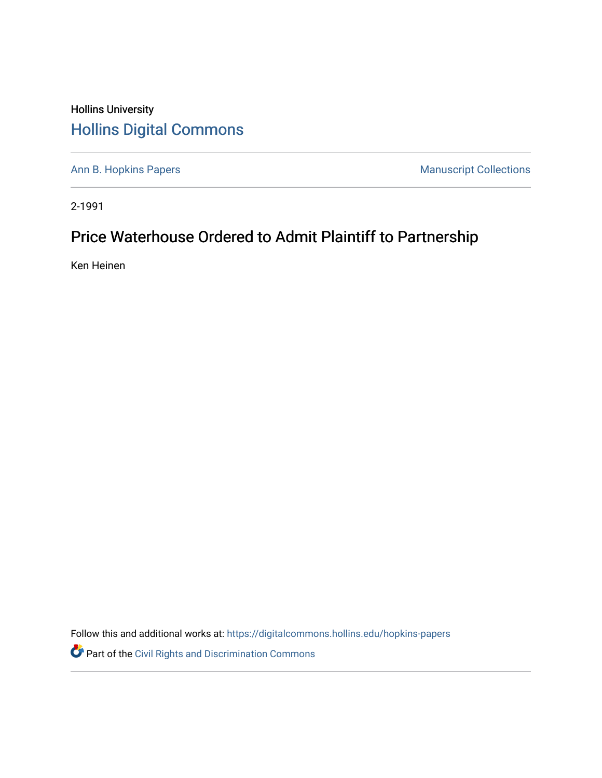### Hollins University [Hollins Digital Commons](https://digitalcommons.hollins.edu/)

[Ann B. Hopkins Papers](https://digitalcommons.hollins.edu/hopkins-papers) **Manuscript Collections** Manuscript Collections

2-1991

## Price Waterhouse Ordered to Admit Plaintiff to Partnership

Ken Heinen

Follow this and additional works at: [https://digitalcommons.hollins.edu/hopkins-papers](https://digitalcommons.hollins.edu/hopkins-papers?utm_source=digitalcommons.hollins.edu%2Fhopkins-papers%2F189&utm_medium=PDF&utm_campaign=PDFCoverPages) 

Part of the [Civil Rights and Discrimination Commons](http://network.bepress.com/hgg/discipline/585?utm_source=digitalcommons.hollins.edu%2Fhopkins-papers%2F189&utm_medium=PDF&utm_campaign=PDFCoverPages)